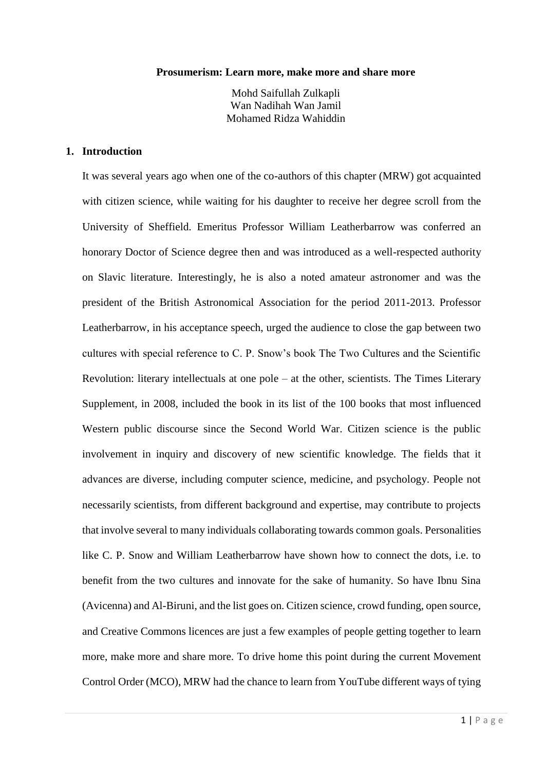#### **Prosumerism: Learn more, make more and share more**

Mohd Saifullah Zulkapli Wan Nadihah Wan Jamil Mohamed Ridza Wahiddin

#### **1. Introduction**

It was several years ago when one of the co-authors of this chapter (MRW) got acquainted with citizen science, while waiting for his daughter to receive her degree scroll from the University of Sheffield. Emeritus Professor William Leatherbarrow was conferred an honorary Doctor of Science degree then and was introduced as a well-respected authority on Slavic literature. Interestingly, he is also a noted amateur astronomer and was the president of the British Astronomical Association for the period 2011-2013. Professor Leatherbarrow, in his acceptance speech, urged the audience to close the gap between two cultures with special reference to C. P. Snow's book The Two Cultures and the Scientific Revolution: literary intellectuals at one pole  $-$  at the other, scientists. The Times Literary Supplement, in 2008, included the book in its list of the 100 books that most influenced Western public discourse since the Second World War. Citizen science is the public involvement in inquiry and discovery of new scientific knowledge. The fields that it advances are diverse, including computer science, medicine, and psychology. People not necessarily scientists, from different background and expertise, may contribute to projects that involve several to many individuals collaborating towards common goals. Personalities like C. P. Snow and William Leatherbarrow have shown how to connect the dots, i.e. to benefit from the two cultures and innovate for the sake of humanity. So have Ibnu Sina (Avicenna) and Al-Biruni, and the list goes on. Citizen science, crowd funding, open source, and Creative Commons licences are just a few examples of people getting together to learn more, make more and share more. To drive home this point during the current Movement Control Order (MCO), MRW had the chance to learn from YouTube different ways of tying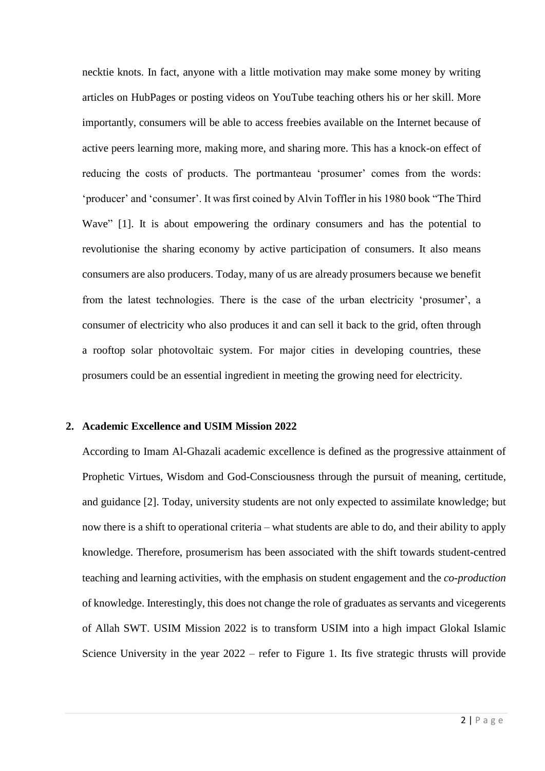necktie knots. In fact, anyone with a little motivation may make some money by writing articles on HubPages or posting videos on YouTube teaching others his or her skill. More importantly, consumers will be able to access freebies available on the Internet because of active peers learning more, making more, and sharing more. This has a knock-on effect of reducing the costs of products. The portmanteau 'prosumer' comes from the words: 'producer' and 'consumer'. It was first coined by Alvin Toffler in his 1980 book "The Third Wave" [1]. It is about empowering the ordinary consumers and has the potential to revolutionise the sharing economy by active participation of consumers. It also means consumers are also producers. Today, many of us are already prosumers because we benefit from the latest technologies. There is the case of the urban electricity 'prosumer', a consumer of electricity who also produces it and can sell it back to the grid, often through a rooftop solar photovoltaic system. For major cities in developing countries, these prosumers could be an essential ingredient in meeting the growing need for electricity.

#### **2. Academic Excellence and USIM Mission 2022**

According to Imam Al-Ghazali academic excellence is defined as the progressive attainment of Prophetic Virtues, Wisdom and God-Consciousness through the pursuit of meaning, certitude, and guidance [2]. Today, university students are not only expected to assimilate knowledge; but now there is a shift to operational criteria – what students are able to do, and their ability to apply knowledge. Therefore, prosumerism has been associated with the shift towards student-centred teaching and learning activities, with the emphasis on student engagement and the *co-production* of knowledge. Interestingly, this does not change the role of graduates as servants and vicegerents of Allah SWT. USIM Mission 2022 is to transform USIM into a high impact Glokal Islamic Science University in the year  $2022$  – refer to Figure 1. Its five strategic thrusts will provide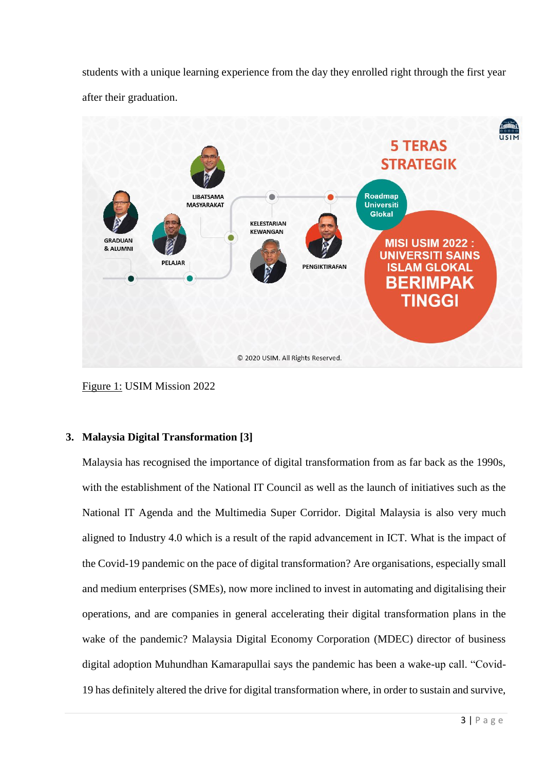students with a unique learning experience from the day they enrolled right through the first year after their graduation.



Figure 1: USIM Mission 2022

# **3. Malaysia Digital Transformation [3]**

Malaysia has recognised the importance of digital transformation from as far back as the 1990s, with the establishment of the National IT Council as well as the launch of initiatives such as the National IT Agenda and the Multimedia Super Corridor. Digital Malaysia is also very much aligned to Industry 4.0 which is a result of the rapid advancement in ICT. What is the impact of the Covid-19 pandemic on the pace of digital transformation? Are organisations, especially small and medium enterprises (SMEs), now more inclined to invest in automating and digitalising their operations, and are companies in general accelerating their digital transformation plans in the wake of the pandemic? Malaysia Digital Economy Corporation (MDEC) director of business digital adoption Muhundhan Kamarapullai says the pandemic has been a wake-up call. "Covid-19 has definitely altered the drive for digital transformation where, in order to sustain and survive,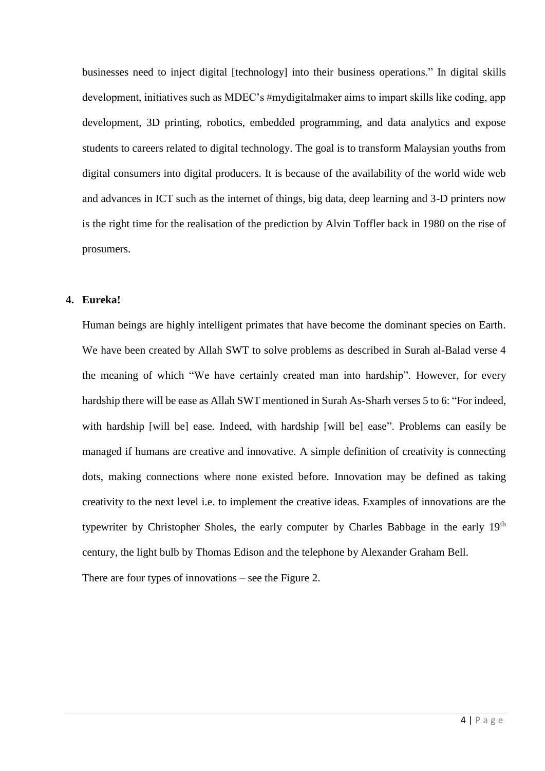businesses need to inject digital [technology] into their business operations." In digital skills development, initiatives such as MDEC's #mydigitalmaker aims to impart skills like coding, app development, 3D printing, robotics, embedded programming, and data analytics and expose students to careers related to digital technology. The goal is to transform Malaysian youths from digital consumers into digital producers. It is because of the availability of the world wide web and advances in ICT such as the internet of things, big data, deep learning and 3-D printers now is the right time for the realisation of the prediction by Alvin Toffler back in 1980 on the rise of prosumers.

#### **4. Eureka!**

Human beings are highly intelligent primates that have become the dominant species on Earth. We have been created by Allah SWT to solve problems as described in Surah al-Balad verse 4 the meaning of which "We have certainly created man into hardship". However, for every hardship there will be ease as Allah SWT mentioned in Surah As-Sharh verses 5 to 6: "For indeed, with hardship [will be] ease. Indeed, with hardship [will be] ease". Problems can easily be managed if humans are creative and innovative. A simple definition of creativity is connecting dots, making connections where none existed before. Innovation may be defined as taking creativity to the next level i.e. to implement the creative ideas. Examples of innovations are the typewriter by Christopher Sholes, the early computer by Charles Babbage in the early 19<sup>th</sup> century, the light bulb by Thomas Edison and the telephone by Alexander Graham Bell.

There are four types of innovations – see the Figure 2.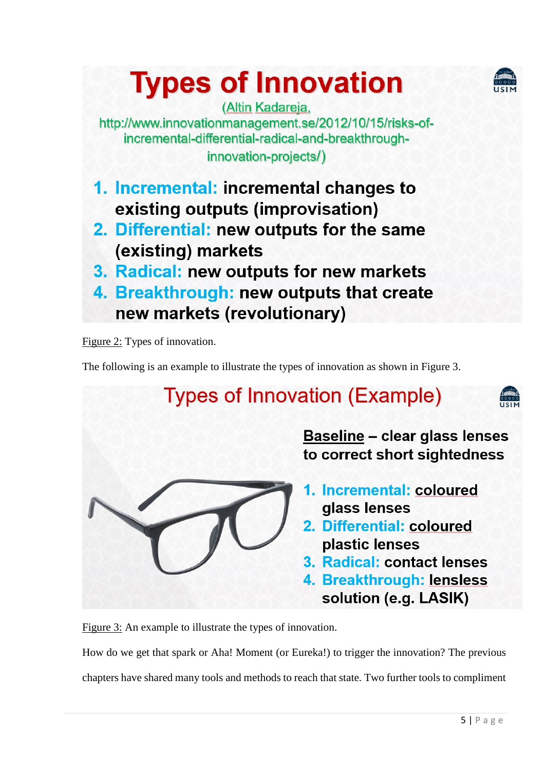

# **Types of Innovation**

(Altin Kadareja, http://www.innovationmanagement.se/2012/10/15/risks-ofincremental-differential-radical-and-breakthroughinnovation-projects/)

- 1. Incremental: incremental changes to existing outputs (improvisation)
- 2. Differential: new outputs for the same (existing) markets
- 3. Radical: new outputs for new markets
- 4. Breakthrough: new outputs that create new markets (revolutionary)

Figure 2: Types of innovation.

The following is an example to illustrate the types of innovation as shown in Figure 3.

# **Types of Innovation (Example)**



**Baseline - clear glass lenses** to correct short sightedness

- 1. Incremental: coloured glass lenses
- 2. Differential: coloured plastic lenses
- 3. Radical: contact lenses
- 4. Breakthrough: lensless solution (e.g. LASIK)

Figure 3: An example to illustrate the types of innovation.

How do we get that spark or Aha! Moment (or Eureka!) to trigger the innovation? The previous chapters have shared many tools and methods to reach that state. Two further tools to compliment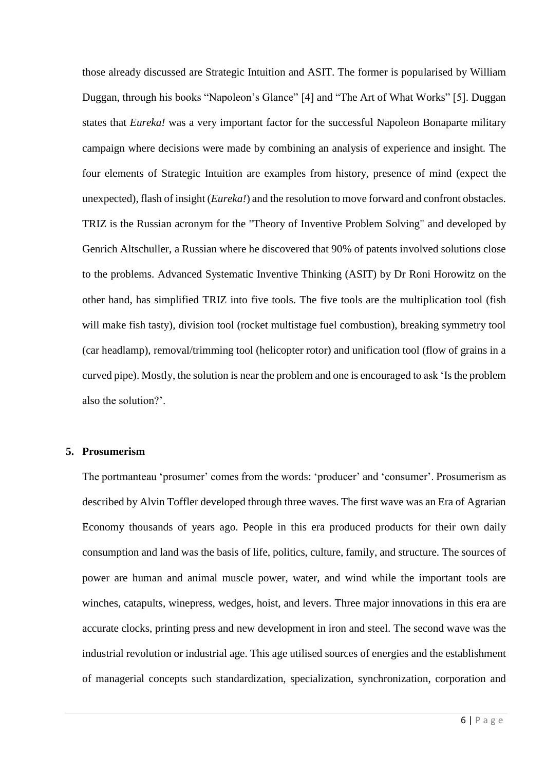those already discussed are Strategic Intuition and ASIT. The former is popularised by William Duggan, through his books "Napoleon's Glance" [4] and "The Art of What Works" [5]. Duggan states that *Eureka!* was a very important factor for the successful Napoleon Bonaparte military campaign where decisions were made by combining an analysis of experience and insight. The four elements of Strategic Intuition are examples from history, presence of mind (expect the unexpected), flash of insight (*Eureka!*) and the resolution to move forward and confront obstacles. TRIZ is the Russian acronym for the "Theory of Inventive Problem Solving" and developed by Genrich Altschuller, a Russian where he discovered that 90% of patents involved solutions close to the problems. Advanced Systematic Inventive Thinking (ASIT) by Dr Roni Horowitz on the other hand, has simplified TRIZ into five tools. The five tools are the multiplication tool (fish will make fish tasty), division tool (rocket multistage fuel combustion), breaking symmetry tool (car headlamp), removal/trimming tool (helicopter rotor) and unification tool (flow of grains in a curved pipe). Mostly, the solution is near the problem and one is encouraged to ask 'Is the problem also the solution?'.

#### **5. Prosumerism**

The portmanteau 'prosumer' comes from the words: 'producer' and 'consumer'. Prosumerism as described by Alvin Toffler developed through three waves. The first wave was an Era of Agrarian Economy thousands of years ago. People in this era produced products for their own daily consumption and land was the basis of life, politics, culture, family, and structure. The sources of power are human and animal muscle power, water, and wind while the important tools are winches, catapults, winepress, wedges, hoist, and levers. Three major innovations in this era are accurate clocks, printing press and new development in iron and steel. The second wave was the industrial revolution or industrial age. This age utilised sources of energies and the establishment of managerial concepts such standardization, specialization, synchronization, corporation and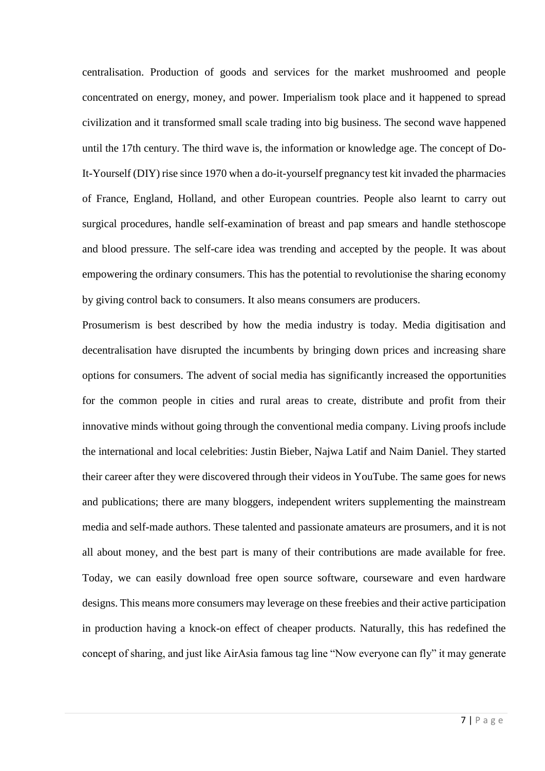centralisation. Production of goods and services for the market mushroomed and people concentrated on energy, money, and power. Imperialism took place and it happened to spread civilization and it transformed small scale trading into big business. The second wave happened until the 17th century. The third wave is, the information or knowledge age. The concept of Do-It-Yourself (DIY) rise since 1970 when a do-it-yourself pregnancy test kit invaded the pharmacies of France, England, Holland, and other European countries. People also learnt to carry out surgical procedures, handle self-examination of breast and pap smears and handle stethoscope and blood pressure. The self-care idea was trending and accepted by the people. It was about empowering the ordinary consumers. This has the potential to revolutionise the sharing economy by giving control back to consumers. It also means consumers are producers.

Prosumerism is best described by how the media industry is today. Media digitisation and decentralisation have disrupted the incumbents by bringing down prices and increasing share options for consumers. The advent of social media has significantly increased the opportunities for the common people in cities and rural areas to create, distribute and profit from their innovative minds without going through the conventional media company. Living proofs include the international and local celebrities: Justin Bieber, Najwa Latif and Naim Daniel. They started their career after they were discovered through their videos in YouTube. The same goes for news and publications; there are many bloggers, independent writers supplementing the mainstream media and self-made authors. These talented and passionate amateurs are prosumers, and it is not all about money, and the best part is many of their contributions are made available for free. Today, we can easily download free open source software, courseware and even hardware designs. This means more consumers may leverage on these freebies and their active participation in production having a knock-on effect of cheaper products. Naturally, this has redefined the concept of sharing, and just like AirAsia famous tag line "Now everyone can fly" it may generate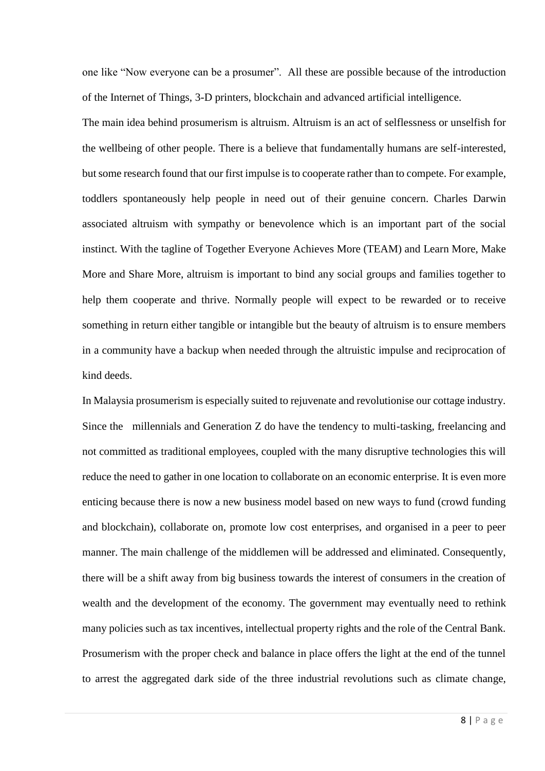one like "Now everyone can be a prosumer". All these are possible because of the introduction of the Internet of Things, 3-D printers, blockchain and advanced artificial intelligence.

The main idea behind prosumerism is altruism. Altruism is an act of selflessness or unselfish for the wellbeing of other people. There is a believe that fundamentally humans are self-interested, but some research found that our first impulse is to cooperate rather than to compete. For example, toddlers spontaneously help people in need out of their genuine concern. Charles Darwin associated altruism with sympathy or benevolence which is an important part of the social instinct. With the tagline of Together Everyone Achieves More (TEAM) and Learn More, Make More and Share More, altruism is important to bind any social groups and families together to help them cooperate and thrive. Normally people will expect to be rewarded or to receive something in return either tangible or intangible but the beauty of altruism is to ensure members in a community have a backup when needed through the altruistic impulse and reciprocation of kind deeds.

In Malaysia prosumerism is especially suited to rejuvenate and revolutionise our cottage industry. Since the millennials and Generation Z do have the tendency to multi-tasking, freelancing and not committed as traditional employees, coupled with the many disruptive technologies this will reduce the need to gather in one location to collaborate on an economic enterprise. It is even more enticing because there is now a new business model based on new ways to fund (crowd funding and blockchain), collaborate on, promote low cost enterprises, and organised in a peer to peer manner. The main challenge of the middlemen will be addressed and eliminated. Consequently, there will be a shift away from big business towards the interest of consumers in the creation of wealth and the development of the economy. The government may eventually need to rethink many policies such as tax incentives, intellectual property rights and the role of the Central Bank. Prosumerism with the proper check and balance in place offers the light at the end of the tunnel to arrest the aggregated dark side of the three industrial revolutions such as climate change,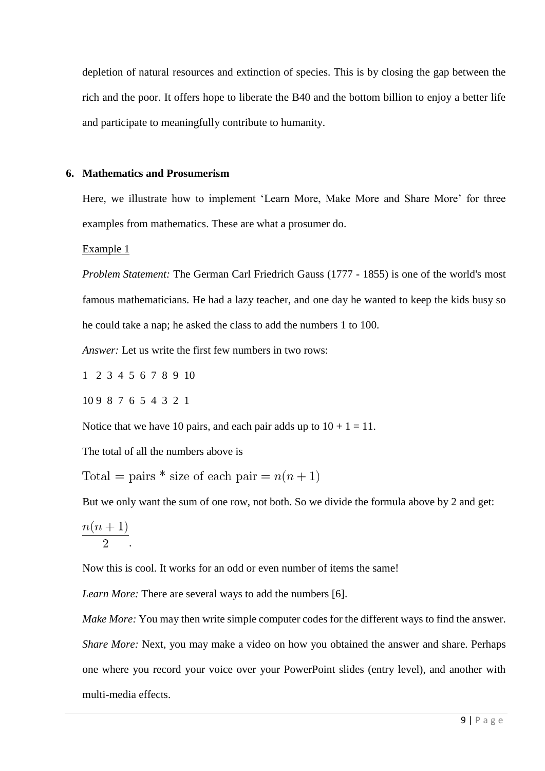depletion of natural resources and extinction of species. This is by closing the gap between the rich and the poor. It offers hope to liberate the B40 and the bottom billion to enjoy a better life and participate to meaningfully contribute to humanity.

#### **6. Mathematics and Prosumerism**

Here, we illustrate how to implement 'Learn More, Make More and Share More' for three examples from mathematics. These are what a prosumer do.

Example 1

*Problem Statement:* The German Carl Friedrich Gauss (1777 - 1855) is one of the world's most famous mathematicians. He had a lazy teacher, and one day he wanted to keep the kids busy so he could take a nap; he asked the class to add the numbers 1 to 100.

*Answer:* Let us write the first few numbers in two rows:

1 2 3 4 5 6 7 8 9 10

10 9 8 7 6 5 4 3 2 1

Notice that we have 10 pairs, and each pair adds up to  $10 + 1 = 11$ .

The total of all the numbers above is

Total = pairs \* size of each pair =  $n(n + 1)$ 

But we only want the sum of one row, not both. So we divide the formula above by 2 and get:

$$
\frac{n(n+1)}{2}.
$$

Now this is cool. It works for an odd or even number of items the same!

*Learn More:* There are several ways to add the numbers [6].

*Make More:* You may then write simple computer codes for the different ways to find the answer. *Share More:* Next, you may make a video on how you obtained the answer and share. Perhaps one where you record your voice over your PowerPoint slides (entry level), and another with multi-media effects.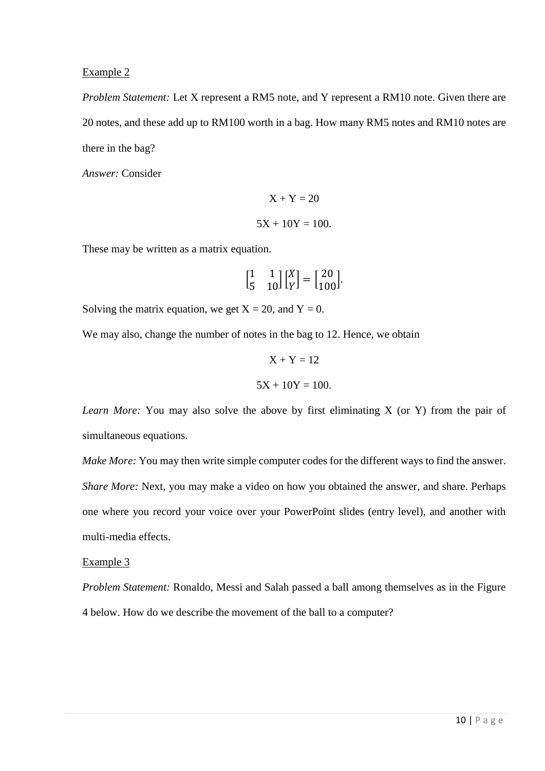#### Example 2

*Problem Statement:* Let X represent a RM5 note, and Y represent a RM10 note. Given there are 20 notes, and these add up to RM100 worth in a bag. How many RM5 notes and RM10 notes are there in the bag?

*Answer:* Consider

$$
X + Y = 20
$$

$$
5X + 10Y = 100.
$$

These may be written as a matrix equation.

$$
\begin{bmatrix} 1 & 1 \\ 5 & 10 \end{bmatrix} \begin{bmatrix} X \\ Y \end{bmatrix} = \begin{bmatrix} 20 \\ 100 \end{bmatrix}.
$$

Solving the matrix equation, we get  $X = 20$ , and  $Y = 0$ .

We may also, change the number of notes in the bag to 12. Hence, we obtain

$$
X + Y = 12
$$

$$
5X + 10Y = 100.
$$

*Learn More:* You may also solve the above by first eliminating X (or Y) from the pair of simultaneous equations.

*Make More:* You may then write simple computer codes for the different ways to find the answer. *Share More:* Next, you may make a video on how you obtained the answer, and share. Perhaps one where you record your voice over your PowerPoint slides (entry level), and another with multi-media effects.

#### Example 3

*Problem Statement:* Ronaldo, Messi and Salah passed a ball among themselves as in the Figure 4 below. How do we describe the movement of the ball to a computer?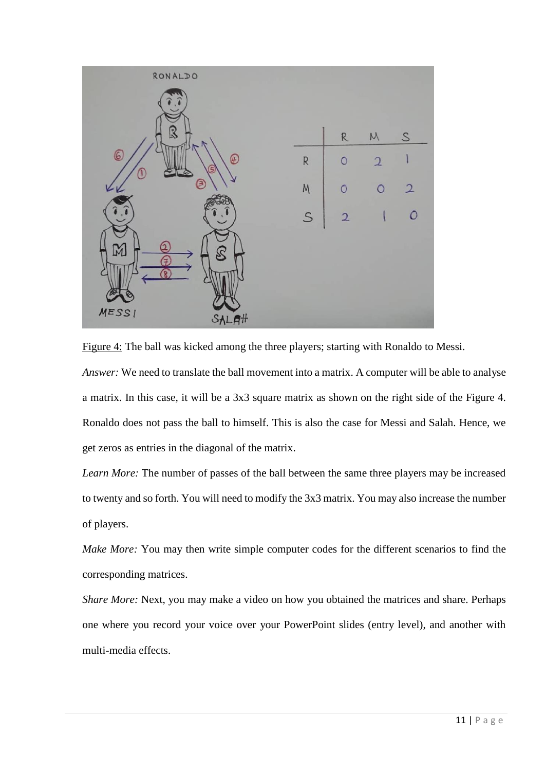

Figure 4: The ball was kicked among the three players; starting with Ronaldo to Messi. *Answer:* We need to translate the ball movement into a matrix. A computer will be able to analyse a matrix. In this case, it will be a 3x3 square matrix as shown on the right side of the Figure 4. Ronaldo does not pass the ball to himself. This is also the case for Messi and Salah. Hence, we get zeros as entries in the diagonal of the matrix.

*Learn More:* The number of passes of the ball between the same three players may be increased to twenty and so forth. You will need to modify the 3x3 matrix. You may also increase the number of players.

*Make More:* You may then write simple computer codes for the different scenarios to find the corresponding matrices.

*Share More:* Next, you may make a video on how you obtained the matrices and share. Perhaps one where you record your voice over your PowerPoint slides (entry level), and another with multi-media effects.